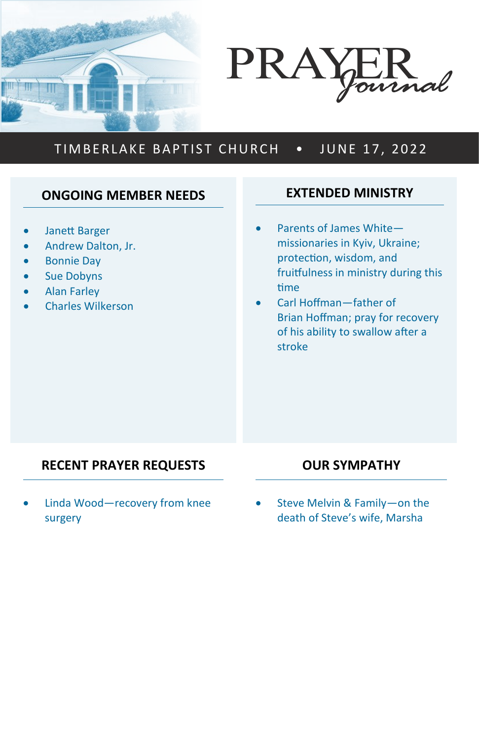



# TIMBERLAKE BAPTIST CHURCH . JUNE 17, 2022

# **ONGOING MEMBER NEEDS**

- Janett Barger
- Andrew Dalton, Jr.
- Bonnie Day
- Sue Dobyns
- Alan Farley
- Charles Wilkerson

#### **EXTENDED MINISTRY**

- Parents of James White missionaries in Kyiv, Ukraine; protection, wisdom, and fruitfulness in ministry during this time
- Carl Hoffman—father of Brian Hoffman; pray for recovery of his ability to swallow after a stroke

# **RECENT PRAYER REQUESTS**

Linda Wood-recovery from knee surgery

#### **OUR SYMPATHY**

• Steve Melvin & Family—on the death of Steve's wife, Marsha